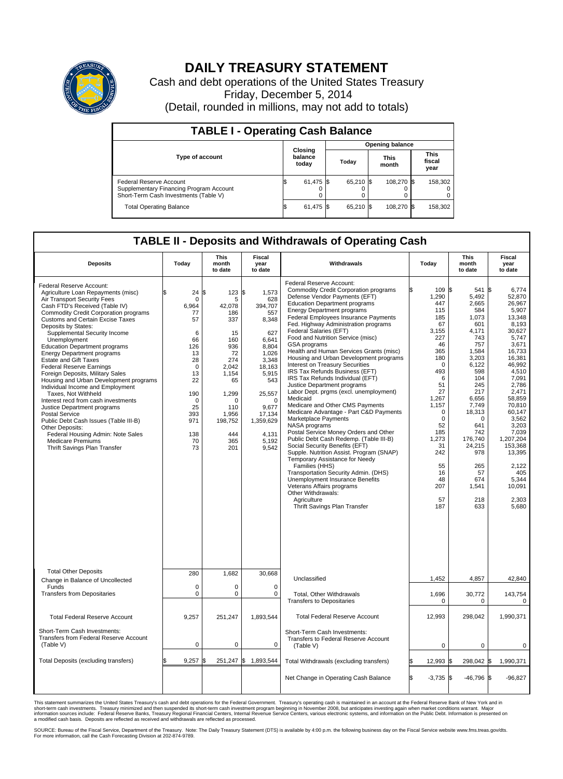

## **DAILY TREASURY STATEMENT**

Cash and debt operations of the United States Treasury Friday, December 5, 2014 (Detail, rounded in millions, may not add to totals)

| <b>TABLE I - Operating Cash Balance</b>                                                                            |                        |                             |       |           |  |                      |  |                               |  |  |  |  |
|--------------------------------------------------------------------------------------------------------------------|------------------------|-----------------------------|-------|-----------|--|----------------------|--|-------------------------------|--|--|--|--|
|                                                                                                                    | <b>Opening balance</b> |                             |       |           |  |                      |  |                               |  |  |  |  |
| <b>Type of account</b>                                                                                             |                        | Closing<br>balance<br>today | Today |           |  | <b>This</b><br>month |  | <b>This</b><br>fiscal<br>year |  |  |  |  |
| <b>Federal Reserve Account</b><br>Supplementary Financing Program Account<br>Short-Term Cash Investments (Table V) |                        | 61,475 \$                   |       | 65,210 \$ |  | 108,270 \$           |  | 158,302                       |  |  |  |  |
| <b>Total Operating Balance</b>                                                                                     |                        | 61,475 \$                   |       | 65,210 \$ |  | 108,270 \$           |  | 158,302                       |  |  |  |  |

## **TABLE II - Deposits and Withdrawals of Operating Cash**

| <b>Deposits</b>                                                                                                                                                                                                                                                                                                                                                                                                                                                                                                                                                                                                                                                                                                                                                                                                                                        | Today                                                                                                                                                           | <b>This</b><br>month<br>to date                                                                                                                                       | <b>Fiscal</b><br>year<br>to date                                                                                                                                                              | Withdrawals                                                                                                                                                                                                                                                                                                                                                                                                                                                                                                                                                                                                                                                                                                                                                                                                                                                                                                                                                                                                                                                                                                                                                             | Today                                                                                                                                                                                                                                | This<br>month<br>to date                                                                                                                                                                                                                         | Fiscal<br>year<br>to date                                                                                                                                                                                                                                                                                  |
|--------------------------------------------------------------------------------------------------------------------------------------------------------------------------------------------------------------------------------------------------------------------------------------------------------------------------------------------------------------------------------------------------------------------------------------------------------------------------------------------------------------------------------------------------------------------------------------------------------------------------------------------------------------------------------------------------------------------------------------------------------------------------------------------------------------------------------------------------------|-----------------------------------------------------------------------------------------------------------------------------------------------------------------|-----------------------------------------------------------------------------------------------------------------------------------------------------------------------|-----------------------------------------------------------------------------------------------------------------------------------------------------------------------------------------------|-------------------------------------------------------------------------------------------------------------------------------------------------------------------------------------------------------------------------------------------------------------------------------------------------------------------------------------------------------------------------------------------------------------------------------------------------------------------------------------------------------------------------------------------------------------------------------------------------------------------------------------------------------------------------------------------------------------------------------------------------------------------------------------------------------------------------------------------------------------------------------------------------------------------------------------------------------------------------------------------------------------------------------------------------------------------------------------------------------------------------------------------------------------------------|--------------------------------------------------------------------------------------------------------------------------------------------------------------------------------------------------------------------------------------|--------------------------------------------------------------------------------------------------------------------------------------------------------------------------------------------------------------------------------------------------|------------------------------------------------------------------------------------------------------------------------------------------------------------------------------------------------------------------------------------------------------------------------------------------------------------|
| Federal Reserve Account:<br>Agriculture Loan Repayments (misc)<br>Air Transport Security Fees<br>Cash FTD's Received (Table IV)<br><b>Commodity Credit Corporation programs</b><br><b>Customs and Certain Excise Taxes</b><br>Deposits by States:<br>Supplemental Security Income<br>Unemployment<br><b>Education Department programs</b><br><b>Energy Department programs</b><br><b>Estate and Gift Taxes</b><br><b>Federal Reserve Earnings</b><br>Foreign Deposits, Military Sales<br>Housing and Urban Development programs<br>Individual Income and Employment<br>Taxes. Not Withheld<br>Interest recd from cash investments<br>Justice Department programs<br><b>Postal Service</b><br>Public Debt Cash Issues (Table III-B)<br>Other Deposits:<br>Federal Housing Admin: Note Sales<br><b>Medicare Premiums</b><br>Thrift Savings Plan Transfer | \$<br>24<br>$\mathbf 0$<br>6,964<br>77<br>57<br>6<br>66<br>126<br>13<br>28<br>$\Omega$<br>13<br>22<br>190<br>$\mathbf 0$<br>25<br>393<br>971<br>138<br>70<br>73 | \$<br>123S<br>5<br>42,078<br>186<br>337<br>15<br>160<br>936<br>72<br>274<br>2.042<br>1,154<br>65<br>1,299<br>$\Omega$<br>110<br>1,956<br>198,752<br>444<br>365<br>201 | 1,573<br>628<br>394.707<br>557<br>8,348<br>627<br>6.641<br>8,804<br>1,026<br>3,348<br>18.163<br>5,915<br>543<br>25,557<br>$\Omega$<br>9,677<br>17,134<br>1,359,629<br>4,131<br>5,192<br>9,542 | Federal Reserve Account:<br><b>Commodity Credit Corporation programs</b><br>Defense Vendor Payments (EFT)<br><b>Education Department programs</b><br><b>Energy Department programs</b><br><b>Federal Employees Insurance Payments</b><br>Fed. Highway Administration programs<br>Federal Salaries (EFT)<br>Food and Nutrition Service (misc)<br>GSA programs<br>Health and Human Services Grants (misc)<br>Housing and Urban Development programs<br>Interest on Treasury Securities<br>IRS Tax Refunds Business (EFT)<br>IRS Tax Refunds Individual (EFT)<br>Justice Department programs<br>Labor Dept. prgms (excl. unemployment)<br>Medicaid<br>Medicare and Other CMS Payments<br>Medicare Advantage - Part C&D Payments<br>Marketplace Payments<br>NASA programs<br>Postal Service Money Orders and Other<br>Public Debt Cash Redemp. (Table III-B)<br>Social Security Benefits (EFT)<br>Supple. Nutrition Assist. Program (SNAP)<br>Temporary Assistance for Needy<br>Families (HHS)<br>Transportation Security Admin. (DHS)<br>Unemployment Insurance Benefits<br>Veterans Affairs programs<br>Other Withdrawals:<br>Agriculture<br>Thrift Savings Plan Transfer | 109 \$<br>1,290<br>447<br>115<br>185<br>67<br>3.155<br>227<br>46<br>365<br>180<br>$\mathbf 0$<br>493<br>6<br>51<br>27<br>1,267<br>1.157<br>0<br>$\mathbf 0$<br>52<br>185<br>1,273<br>31<br>242<br>55<br>16<br>48<br>207<br>57<br>187 | 541<br>5,492<br>2.665<br>584<br>1,073<br>601<br>4.171<br>743<br>757<br>1,584<br>3,203<br>6,122<br>598<br>104<br>245<br>217<br>6,656<br>7,749<br>18,313<br>0<br>641<br>742<br>176,740<br>24,215<br>978<br>265<br>57<br>674<br>1,541<br>218<br>633 | 1\$<br>6,774<br>52,870<br>26.967<br>5,907<br>13,348<br>8,193<br>30.627<br>5,747<br>3,671<br>16,733<br>16.381<br>46,992<br>4,510<br>7,091<br>2,786<br>2,471<br>58,859<br>70.810<br>60,147<br>3,562<br>3,203<br>7,039<br>1,207,204<br>153,368<br>13,395<br>2,122<br>405<br>5.344<br>10,091<br>2,303<br>5,680 |
| <b>Total Other Deposits</b><br>Change in Balance of Uncollected                                                                                                                                                                                                                                                                                                                                                                                                                                                                                                                                                                                                                                                                                                                                                                                        | 280                                                                                                                                                             | 1,682                                                                                                                                                                 | 30,668                                                                                                                                                                                        | Unclassified                                                                                                                                                                                                                                                                                                                                                                                                                                                                                                                                                                                                                                                                                                                                                                                                                                                                                                                                                                                                                                                                                                                                                            | 1,452                                                                                                                                                                                                                                | 4,857                                                                                                                                                                                                                                            | 42,840                                                                                                                                                                                                                                                                                                     |
| Funds<br><b>Transfers from Depositaries</b>                                                                                                                                                                                                                                                                                                                                                                                                                                                                                                                                                                                                                                                                                                                                                                                                            | $\mathbf 0$<br>$\mathbf 0$                                                                                                                                      | 0<br>0                                                                                                                                                                | $\mathbf 0$<br>$\Omega$                                                                                                                                                                       | Total, Other Withdrawals<br><b>Transfers to Depositaries</b>                                                                                                                                                                                                                                                                                                                                                                                                                                                                                                                                                                                                                                                                                                                                                                                                                                                                                                                                                                                                                                                                                                            | 1,696<br>$\mathbf 0$                                                                                                                                                                                                                 | 30,772<br>0                                                                                                                                                                                                                                      | 143,754<br>0                                                                                                                                                                                                                                                                                               |
| <b>Total Federal Reserve Account</b>                                                                                                                                                                                                                                                                                                                                                                                                                                                                                                                                                                                                                                                                                                                                                                                                                   | 9,257                                                                                                                                                           | 251,247                                                                                                                                                               | 1,893,544                                                                                                                                                                                     | <b>Total Federal Reserve Account</b>                                                                                                                                                                                                                                                                                                                                                                                                                                                                                                                                                                                                                                                                                                                                                                                                                                                                                                                                                                                                                                                                                                                                    | 12,993                                                                                                                                                                                                                               | 298,042                                                                                                                                                                                                                                          | 1,990,371                                                                                                                                                                                                                                                                                                  |
| Short-Term Cash Investments:<br>Transfers from Federal Reserve Account<br>(Table V)                                                                                                                                                                                                                                                                                                                                                                                                                                                                                                                                                                                                                                                                                                                                                                    | $\pmb{0}$                                                                                                                                                       | 0                                                                                                                                                                     | $\mathbf 0$                                                                                                                                                                                   | Short-Term Cash Investments:<br>Transfers to Federal Reserve Account<br>(Table V)                                                                                                                                                                                                                                                                                                                                                                                                                                                                                                                                                                                                                                                                                                                                                                                                                                                                                                                                                                                                                                                                                       | $\mathbf 0$                                                                                                                                                                                                                          | 0                                                                                                                                                                                                                                                | 0                                                                                                                                                                                                                                                                                                          |
| Total Deposits (excluding transfers)                                                                                                                                                                                                                                                                                                                                                                                                                                                                                                                                                                                                                                                                                                                                                                                                                   | 9,257                                                                                                                                                           | \$                                                                                                                                                                    | 251,247 \$ 1,893,544                                                                                                                                                                          | Total Withdrawals (excluding transfers)                                                                                                                                                                                                                                                                                                                                                                                                                                                                                                                                                                                                                                                                                                                                                                                                                                                                                                                                                                                                                                                                                                                                 | \$<br>12,993 \$                                                                                                                                                                                                                      | 298,042 \$                                                                                                                                                                                                                                       | 1,990,371                                                                                                                                                                                                                                                                                                  |
|                                                                                                                                                                                                                                                                                                                                                                                                                                                                                                                                                                                                                                                                                                                                                                                                                                                        |                                                                                                                                                                 |                                                                                                                                                                       |                                                                                                                                                                                               | Net Change in Operating Cash Balance                                                                                                                                                                                                                                                                                                                                                                                                                                                                                                                                                                                                                                                                                                                                                                                                                                                                                                                                                                                                                                                                                                                                    | Ŝ.<br>$-3,735$ \$                                                                                                                                                                                                                    | $-46,796$ \$                                                                                                                                                                                                                                     | $-96,827$                                                                                                                                                                                                                                                                                                  |

This statement summarizes the United States Treasury's cash and debt operations for the Federal Government. Treasury's operating cash is maintained in an account at the Federal Reserve Bank of New York and in<br>short-term ca

SOURCE: Bureau of the Fiscal Service, Department of the Treasury. Note: The Daily Treasury Statement (DTS) is available by 4:00 p.m. the following business day on the Fiscal Service website www.fms.treas.gov/dts.<br>For more